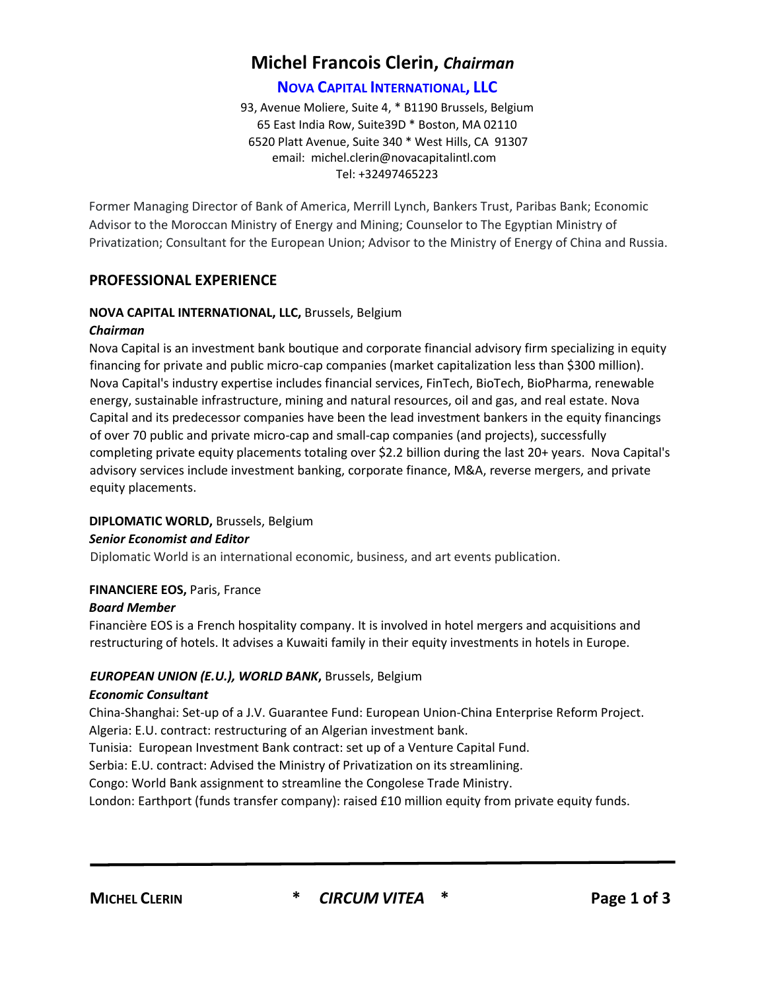# **Michel Francois Clerin,** *Chairman*

## **NOVA CAPITAL INTERNATIONAL, LLC**

93, Avenue Moliere, Suite 4, \* B1190 Brussels, Belgium 65 East India Row, Suite39D \* Boston, MA 02110 6520 Platt Avenue, Suite 340 \* West Hills, CA 91307 email: michel.clerin@novacapitalintl.com Tel: +32497465223

Former Managing Director of Bank of America, Merrill Lynch, Bankers Trust, Paribas Bank; Economic Advisor to the Moroccan Ministry of Energy and Mining; Counselor to The Egyptian Ministry of Privatization; Consultant for the European Union; Advisor to the Ministry of Energy of China and Russia.

## **PROFESSIONAL EXPERIENCE**

## **NOVA CAPITAL INTERNATIONAL, LLC,** Brussels, Belgium

#### *Chairman*

Nova Capital is an investment bank boutique and corporate financial advisory firm specializing in equity financing for private and public micro-cap companies (market capitalization less than \$300 million). Nova Capital's industry expertise includes financial services, FinTech, BioTech, BioPharma, renewable energy, sustainable infrastructure, mining and natural resources, oil and gas, and real estate. Nova Capital and its predecessor companies have been the lead investment bankers in the equity financings of over 70 public and private micro-cap and small-cap companies (and projects), successfully completing private equity placements totaling over \$2.2 billion during the last 20+ years. Nova Capital's advisory services include investment banking, corporate finance, M&A, reverse mergers, and private equity placements.

#### **DIPLOMATIC WORLD,** Brussels, Belgium

#### *Senior Economist and Editor*

Diplomatic World is an international economic, business, and art events publication.

## **FINANCIERE EOS,** Paris, France

#### *Board Member*

Financière EOS is a French hospitality company. It is involved in hotel mergers and acquisitions and restructuring of hotels. It advises a Kuwaiti family in their equity investments in hotels in Europe.

## *EUROPEAN UNION (E.U.), WORLD BANK***,** Brussels, Belgium

#### *Economic Consultant*

China-Shanghai: Set-up of a J.V. Guarantee Fund: European Union-China Enterprise Reform Project. Algeria: E.U. contract: restructuring of an Algerian investment bank.

Tunisia: European Investment Bank contract: set up of a Venture Capital Fund.

Serbia: E.U. contract: Advised the Ministry of Privatization on its streamlining.

Congo: World Bank assignment to streamline the Congolese Trade Ministry.

London: Earthport (funds transfer company): raised £10 million equity from private equity funds.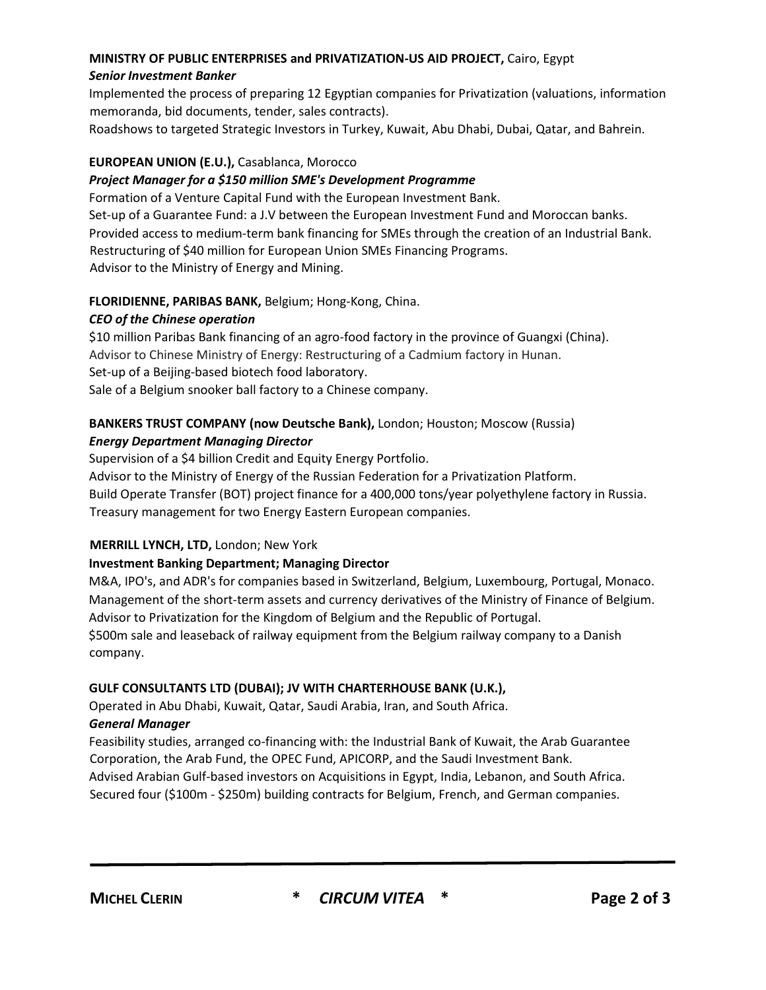## **MINISTRY OF PUBLIC ENTERPRISES and PRIVATIZATION-US AID PROJECT,** Cairo, Egypt *Senior Investment Banker*

Implemented the process of preparing 12 Egyptian companies for Privatization (valuations, information memoranda, bid documents, tender, sales contracts).

Roadshows to targeted Strategic Investors in Turkey, Kuwait, Abu Dhabi, Dubai, Qatar, and Bahrein.

## **EUROPEAN UNION (E.U.),** Casablanca, Morocco

#### *Project Manager for a \$150 million SME's Development Programme*

Formation of a Venture Capital Fund with the European Investment Bank. Set-up of a Guarantee Fund: a J.V between the European Investment Fund and Moroccan banks. Provided access to medium-term bank financing for SMEs through the creation of an Industrial Bank. Restructuring of \$40 million for European Union SMEs Financing Programs. Advisor to the Ministry of Energy and Mining.

## **FLORIDIENNE, PARIBAS BANK,** Belgium; Hong-Kong, China.

## *CEO of the Chinese operation*

\$10 million Paribas Bank financing of an agro-food factory in the province of Guangxi (China). Advisor to Chinese Ministry of Energy: Restructuring of a Cadmium factory in Hunan. Set-up of a Beijing-based biotech food laboratory. Sale of a Belgium snooker ball factory to a Chinese company.

# **BANKERS TRUST COMPANY (now Deutsche Bank),** London; Houston; Moscow (Russia)

## *Energy Department Managing Director*

Supervision of a \$4 billion Credit and Equity Energy Portfolio.

Advisor to the Ministry of Energy of the Russian Federation for a Privatization Platform. Build Operate Transfer (BOT) project finance for a 400,000 tons/year polyethylene factory in Russia. Treasury management for two Energy Eastern European companies.

## **MERRILL LYNCH, LTD,** London; New York

## **Investment Banking Department; Managing Director**

M&A, IPO's, and ADR's for companies based in Switzerland, Belgium, Luxembourg, Portugal, Monaco. Management of the short-term assets and currency derivatives of the Ministry of Finance of Belgium. Advisor to Privatization for the Kingdom of Belgium and the Republic of Portugal.

\$500m sale and leaseback of railway equipment from the Belgium railway company to a Danish company.

## **GULF CONSULTANTS LTD (DUBAI); JV WITH CHARTERHOUSE BANK (U.K.),**

Operated in Abu Dhabi, Kuwait, Qatar, Saudi Arabia, Iran, and South Africa.

#### *General Manager*

Feasibility studies, arranged co-financing with: the Industrial Bank of Kuwait, the Arab Guarantee Corporation, the Arab Fund, the OPEC Fund, APICORP, and the Saudi Investment Bank. Advised Arabian Gulf-based investors on Acquisitions in Egypt, India, Lebanon, and South Africa. Secured four (\$100m - \$250m) building contracts for Belgium, French, and German companies.